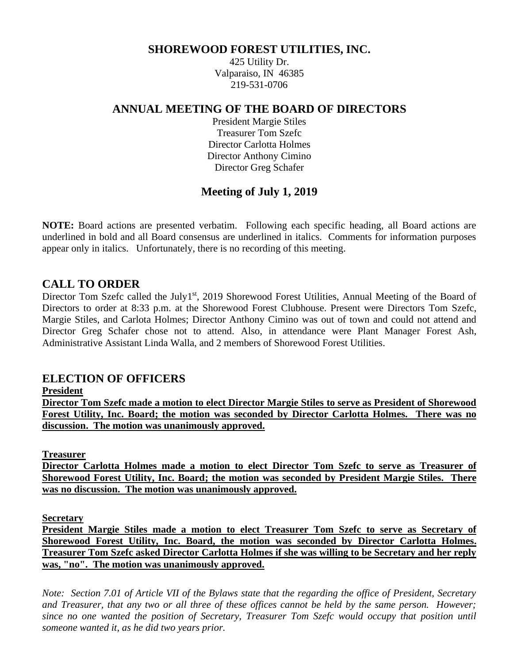#### **SHOREWOOD FOREST UTILITIES, INC.**

425 Utility Dr. Valparaiso, IN 46385 219-531-0706

#### **ANNUAL MEETING OF THE BOARD OF DIRECTORS**

President Margie Stiles Treasurer Tom Szefc Director Carlotta Holmes Director Anthony Cimino Director Greg Schafer

## **Meeting of July 1, 2019**

**NOTE:** Board actions are presented verbatim. Following each specific heading, all Board actions are underlined in bold and all Board consensus are underlined in italics. Comments for information purposes appear only in italics. Unfortunately, there is no recording of this meeting.

### **CALL TO ORDER**

Director Tom Szefc called the July1<sup>st</sup>, 2019 Shorewood Forest Utilities, Annual Meeting of the Board of Directors to order at 8:33 p.m. at the Shorewood Forest Clubhouse. Present were Directors Tom Szefc, Margie Stiles, and Carlota Holmes; Director Anthony Cimino was out of town and could not attend and Director Greg Schafer chose not to attend. Also, in attendance were Plant Manager Forest Ash, Administrative Assistant Linda Walla, and 2 members of Shorewood Forest Utilities.

#### **ELECTION OF OFFICERS**

**President**

**Director Tom Szefc made a motion to elect Director Margie Stiles to serve as President of Shorewood Forest Utility, Inc. Board; the motion was seconded by Director Carlotta Holmes. There was no discussion. The motion was unanimously approved.**

**Treasurer**

**Director Carlotta Holmes made a motion to elect Director Tom Szefc to serve as Treasurer of Shorewood Forest Utility, Inc. Board; the motion was seconded by President Margie Stiles. There was no discussion. The motion was unanimously approved.**

**Secretary**

**President Margie Stiles made a motion to elect Treasurer Tom Szefc to serve as Secretary of Shorewood Forest Utility, Inc. Board, the motion was seconded by Director Carlotta Holmes. Treasurer Tom Szefc asked Director Carlotta Holmes if she was willing to be Secretary and her reply was, "no". The motion was unanimously approved.**

*Note: Section 7.01 of Article VII of the Bylaws state that the regarding the office of President, Secretary and Treasurer, that any two or all three of these offices cannot be held by the same person. However; since no one wanted the position of Secretary, Treasurer Tom Szefc would occupy that position until someone wanted it, as he did two years prior.*